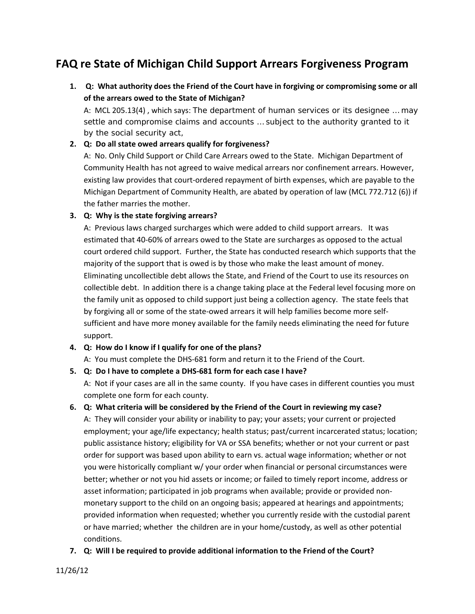# **FAQ re State of Michigan Child Support Arrears Forgiveness Program**

1. Q: What authority does the Friend of the Court have in forgiving or compromising some or all **of the arrears owed to the State of Michigan?**

A: MCL 205.13(4) , which says: The department of human services or its designee … may settle and compromise claims and accounts … subject to the authority granted to it by the social security act,

#### **2. Q: Do all state owed arrears qualify for forgiveness?**

A: No. Only Child Support or Child Care Arrears owed to the State. Michigan Department of Community Health has not agreed to waive medical arrears nor confinement arrears. However, existing law provides that court-ordered repayment of birth expenses, which are payable to the Michigan Department of Community Health, are abated by operation of law (MCL 772.712 (6)) if the father marries the mother.

#### **3. Q: Why is the state forgiving arrears?**

A: Previous laws charged surcharges which were added to child support arrears. It was estimated that 40‐60% of arrears owed to the State are surcharges as opposed to the actual court ordered child support. Further, the State has conducted research which supports that the majority of the support that is owed is by those who make the least amount of money. Eliminating uncollectible debt allows the State, and Friend of the Court to use its resources on collectible debt. In addition there is a change taking place at the Federal level focusing more on the family unit as opposed to child support just being a collection agency. The state feels that by forgiving all or some of the state‐owed arrears it will help families become more self‐ sufficient and have more money available for the family needs eliminating the need for future support.

## **4. Q: How do I know if I qualify for one of the plans?**

A: You must complete the DHS‐681 form and return it to the Friend of the Court.

**5. Q: Do I have to complete a DHS‐681 form for each case I have?**

A: Not if your cases are all in the same county. If you have cases in different counties you must complete one form for each county.

#### **6. Q: What criteria will be considered by the Friend of the Court in reviewing my case?**

A: They will consider your ability or inability to pay; your assets; your current or projected employment; your age/life expectancy; health status; past/current incarcerated status; location; public assistance history; eligibility for VA or SSA benefits; whether or not your current or past order for support was based upon ability to earn vs. actual wage information; whether or not you were historically compliant w/ your order when financial or personal circumstances were better; whether or not you hid assets or income; or failed to timely report income, address or asset information; participated in job programs when available; provide or provided non‐ monetary support to the child on an ongoing basis; appeared at hearings and appointments; provided information when requested; whether you currently reside with the custodial parent or have married; whether the children are in your home/custody, as well as other potential conditions.

**7. Q: Will I be required to provide additional information to the Friend of the Court?**